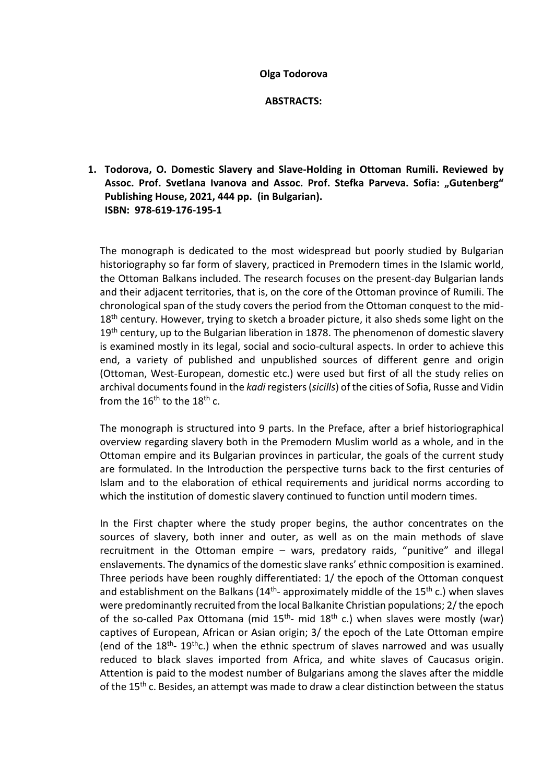#### **Olga Todorova**

**ABSTRACТS:**

**1. Todorova, O. Domestic Slavery and Slave-Holding in Ottoman Rumili. Reviewed by**  Assoc. Prof. Svetlana Ivanova and Assoc. Prof. Stefka Parveva. Sofia: "Gutenberg" **Publishing House, 2021, 444 pp. (in Bulgarian). ISBN: 978-619-176-195-1** 

The monograph is dedicated to the most widespread but poorly studied by Bulgarian historiography so far form of slavery, practiced in Premodern times in the Islamic world, the Ottoman Balkans included. The research focuses on the present-day Bulgarian lands and their adjacent territories, that is, on the core of the Ottoman province of Rumili. The chronological span of the study covers the period from the Ottoman conquest to the mid- $18<sup>th</sup>$  century. However, trying to sketch a broader picture, it also sheds some light on the  $19<sup>th</sup>$  century, up to the Bulgarian liberation in 1878. The phenomenon of domestic slavery is examined mostly in its legal, social and socio-cultural aspects. In order to achieve this end, a variety of published and unpublished sources of different genre and origin (Ottoman, West-European, domestic etc.) were used but first of all the study relies on archival documents found in the *kadi* registers (*sicills*) of the cities of Sofia, Russe and Vidin from the  $16<sup>th</sup>$  to the  $18<sup>th</sup>$  c.

The monograph is structured into 9 parts. In the Preface, after a brief historiographical overview regarding slavery both in the Premodern Muslim world as a whole, and in the Ottoman empire and its Bulgarian provinces in particular, the goals of the current study are formulated. In the Introduction the perspective turns back to the first centuries of Islam and to the elaboration of ethical requirements and juridical norms according to which the institution of domestic slavery continued to function until modern times.

In the First chapter where the study proper begins, the author concentrates on the sources of slavery, both inner and outer, as well as on the main methods of slave recruitment in the Ottoman empire – wars, predatory raids, "punitive" and illegal enslavements. The dynamics of the domestic slave ranks' ethnic composition is examined. Three periods have been roughly differentiated: 1/ the epoch of the Ottoman conquest and establishment on the Balkans  $(14<sup>th</sup> -$  approximately middle of the  $15<sup>th</sup>$  c.) when slaves were predominantly recruited from the local Balkanite Christian populations; 2/ the epoch of the so-called Pax Ottomana (mid  $15<sup>th</sup>$ - mid  $18<sup>th</sup>$  c.) when slaves were mostly (war) captives of European, African or Asian origin; 3/ the epoch of the Late Ottoman empire (end of the  $18<sup>th</sup> - 19<sup>th</sup>$ c.) when the ethnic spectrum of slaves narrowed and was usually reduced to black slaves imported from Africa, and white slaves of Caucasus origin. Attention is paid to the modest number of Bulgarians among the slaves after the middle of the  $15<sup>th</sup>$  c. Besides, an attempt was made to draw a clear distinction between the status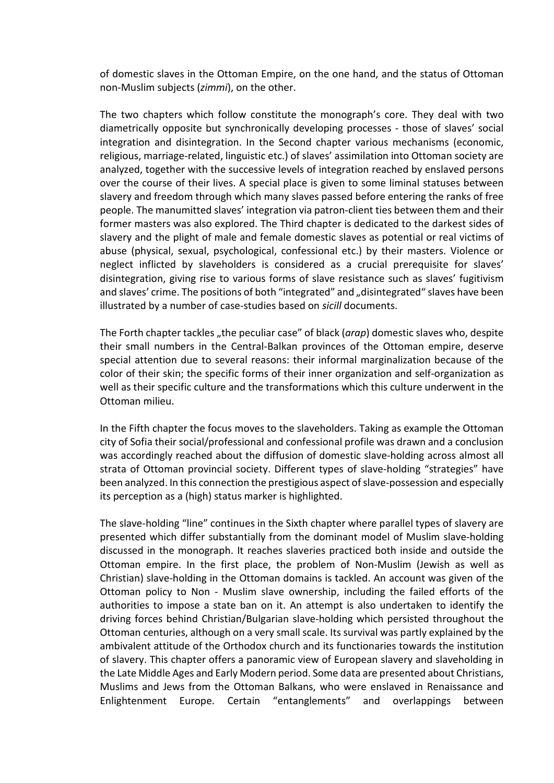of domestic slaves in the Ottoman Empire, on the one hand, and the status of Ottoman non-Muslim subjects (*zimmi*), on the other.

The two chapters which follow constitute the monograph's core. They deal with two diametrically opposite but synchronically developing processes - those of slaves' social integration and disintegration. In the Second chapter various mechanisms (economic, religious, marriage-related, linguistic etc.) of slaves' assimilation into Ottoman society are analyzed, together with the successive levels of integration reached by enslaved persons over the course of their lives. A special place is given to some liminal statuses between slavery and freedom through which many slaves passed before entering the ranks of free people. The manumitted slaves' integration via patron-client ties between them and their former masters was also explored. The Third chapter is dedicated to the darkest sides of slavery and the plight of male and female domestic slaves as potential or real victims of abuse (physical, sexual, psychological, confessional etc.) by their masters. Violence or neglect inflicted by slaveholders is considered as a crucial prerequisite for slaves' disintegration, giving rise to various forms of slave resistance such as slaves' fugitivism and slaves' crime. The positions of both "integrated" and "disintegrated" slaves have been illustrated by a number of case-studies based on *sicill* documents.

The Forth chapter tackles "the peculiar case" of black (*arap*) domestic slaves who, despite their small numbers in the Central-Balkan provinces of the Ottoman empire, deserve special attention due to several reasons: their informal marginalization because of the color of their skin; the specific forms of their inner organization and self-organization as well as their specific culture and the transformations which this culture underwent in the Ottoman milieu.

In the Fifth chapter the focus moves to the slaveholders. Taking as example the Ottoman city of Sofia their social/professional and confessional profile was drawn and a conclusion was accordingly reached about the diffusion of domestic slave-holding across almost all strata of Ottoman provincial society. Different types of slave-holding "strategies" have been analyzed. In this connection the prestigious aspect of slave-possession and especially its perception as a (high) status marker is highlighted.

The slave-holding "line" continues in the Sixth chapter where parallel types of slavery are presented which differ substantially from the dominant model of Muslim slave-holding discussed in the monograph. It reaches slaveries practiced both inside and outside the Ottoman empire. In the first place, the problem of Non-Muslim (Jewish as well as Christian) slave-holding in the Ottoman domains is tackled. An account was given of the Ottoman policy to Non - Muslim slave ownership, including the failed efforts of the authorities to impose a state ban on it. An attempt is also undertaken to identify the driving forces behind Christian/Bulgarian slave-holding which persisted throughout the Ottoman centuries, although on a very small scale. Its survival was partly explained by the ambivalent attitude of the Orthodox church and its functionaries towards the institution of slavery. This chapter offers a panoramic view of European slavery and slaveholding in the Late Middle Ages and Early Modern period. Some data are presented about Christians, Muslims and Jews from the Ottoman Balkans, who were enslaved in Renaissance and Enlightenment Europe. Certain "entanglements" and overlappings between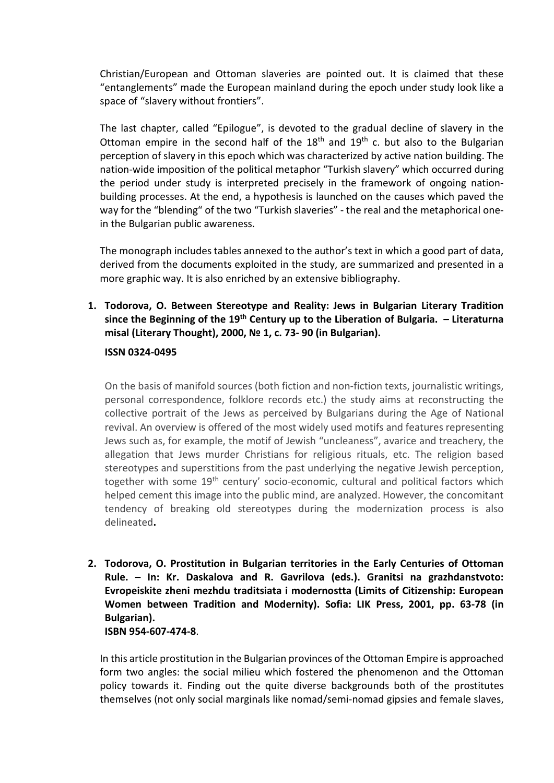Christian/European and Ottoman slaveries are pointed out. It is claimed that these "entanglements" made the European mainland during the epoch under study look like a space of "slavery without frontiers".

The last chapter, called "Epilogue", is devoted to the gradual decline of slavery in the Ottoman empire in the second half of the  $18<sup>th</sup>$  and  $19<sup>th</sup>$  c. but also to the Bulgarian perception of slavery in this epoch which was characterized by active nation building. The nation-wide imposition of the political metaphor "Turkish slavery" which occurred during the period under study is interpreted precisely in the framework of ongoing nationbuilding processes. At the end, a hypothesis is launched on the causes which paved the way for the "blending" of the two "Turkish slaveries" - the real and the metaphorical onein the Bulgarian public awareness.

The monograph includes tables annexed to the author's text in which a good part of data, derived from the documents exploited in the study, are summarized and presented in a more graphic way. It is also enriched by an extensive bibliography.

**1. Todorova, O. Between Stereotype and Reality: Jews in Bulgarian Literary Tradition since the Beginning of the 19th Century up to the Liberation of Bulgaria. – Literaturna misal (Literary Thought), 2000, № 1, с. 73- 90 (in Bulgarian).**

### **ISSN 0324-0495**

On the basis of manifold sources (both fiction and non-fiction texts, journalistic writings, personal correspondence, folklore records etc.) the study aims at reconstructing the collective portrait of the Jews as perceived by Bulgarians during the Age of National revival. An overview is offered of the most widely used motifs and features representing Jews such as, for example, the motif of Jewish "uncleaness", avarice and treachery, the allegation that Jews murder Christians for religious rituals, etc. The religion based stereotypes and superstitions from the past underlying the negative Jewish perception, together with some 19<sup>th</sup> century' socio-economic, cultural and political factors which helped cement this image into the public mind, are analyzed. However, the concomitant tendency of breaking old stereotypes during the modernization process is also delineated**.**

**2. Todorova, O. Prostitution in Bulgarian territories in the Early Centuries of Ottoman Rule. – In: Kr. Daskalova and R. Gavrilova (eds.). Granitsi na grazhdanstvoto: Evropeiskite zheni mezhdu traditsiata i modernostta (Limits of Citizenship: European Women between Tradition and Modernity). Sofia: LIK Press, 2001, pp. 63-78 (in Bulgarian). ISBN 954-607-474-8**.

In this article prostitution in the Bulgarian provinces of the Ottoman Empire is approached form two angles: the social milieu which fostered the phenomenon and the Ottoman policy towards it. Finding out the quite diverse backgrounds both of the prostitutes themselves (not only social marginals like nomad/semi-nomad gipsies and female slaves,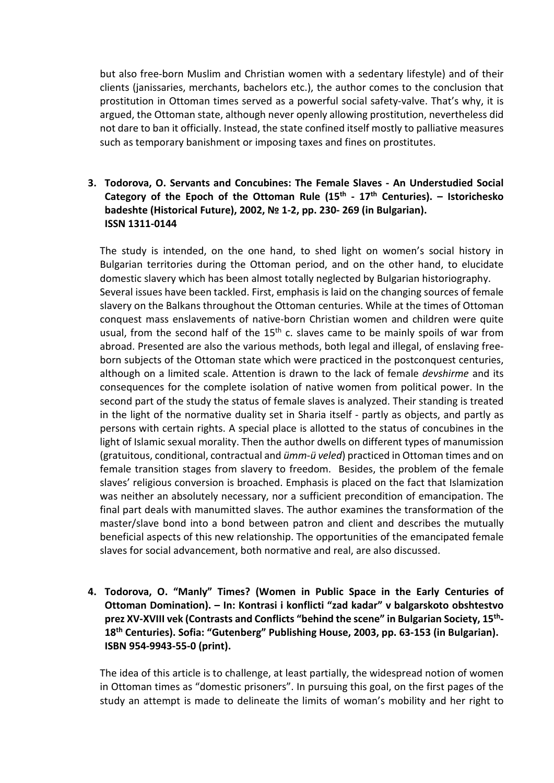but also free-born Muslim and Christian women with a sedentary lifestyle) and of their clients (janissaries, merchants, bachelors etc.), the author comes to the conclusion that prostitution in Ottoman times served as a powerful social safety-valve. That's why, it is argued, the Ottoman state, although never openly allowing prostitution, nevertheless did not dare to ban it officially. Instead, the state confined itself mostly to palliative measures such as temporary banishment or imposing taxes and fines on prostitutes.

## **3. Todorova, O. Servants and Concubines: The Female Slaves - An Understudied Social Category of the Epoch of the Ottoman Rule (15th - 17th Centuries). – Istorichesko badeshte (Historical Future), 2002, № 1-2, pp. 230- 269 (in Bulgarian). ISSN 1311-0144**

The study is intended, on the one hand, to shed light on women's social history in Bulgarian territories during the Ottoman period, and on the other hand, to elucidate domestic slavery which has been almost totally neglected by Bulgarian historiography. Several issues have been tackled. First, emphasis is laid on the changing sources of female slavery on the Balkans throughout the Ottoman centuries. While at the times of Ottoman conquest mass enslavements of native-born Christian women and children were quite usual, from the second half of the  $15<sup>th</sup>$  c. slaves came to be mainly spoils of war from abroad. Presented are also the various methods, both legal and illegal, of enslaving freeborn subjects of the Ottoman state which were practiced in the postconquest centuries, although on a limited scale. Attention is drawn to the lack of female *devshirme* and its consequences for the complete isolation of native women from political power. In the second part of the study the status of female slaves is analyzed. Their standing is treated in the light of the normative duality set in Sharia itself - partly as objects, and partly as persons with certain rights. A special place is allotted to the status of concubines in the light of Islamic sexual morality. Then the author dwells on different types of manumission (gratuitous, conditional, contractual and *ümm-ü veled*) practiced in Ottoman times and on female transition stages from slavery to freedom. Besides, the problem of the female slaves' religious conversion is broached. Emphasis is placed on the fact that Islamization was neither an absolutely necessary, nor a sufficient precondition of emancipation. The final part deals with manumitted slaves. The author examines the transformation of the master/slave bond into a bond between patron and client and describes the mutually beneficial aspects of this new relationship. The opportunities of the emancipated female slaves for social advancement, both normative and real, are also discussed.

**4. Тodorova, O. "Manly" Times? (Women in Public Space in the Early Centuries of Ottoman Domination). – In: Kontrasi i konflicti "zad kadar" v balgarskoto obshtestvo prez ХV-ХVІІІ vek (Contrasts and Conflicts "behind the scene" in Bulgarian Society, 15th-18th Centuries). Sofia: "Gutenberg" Publishing House, 2003, pp. 63-153 (in Bulgarian). ISBN 954-9943-55-0 (print).** 

The idea of this article is to challenge, at least partially, the widespread notion of women in Ottoman times as "domestic prisoners". In pursuing this goal, on the first pages of the study an attempt is made to delineate the limits of woman's mobility and her right to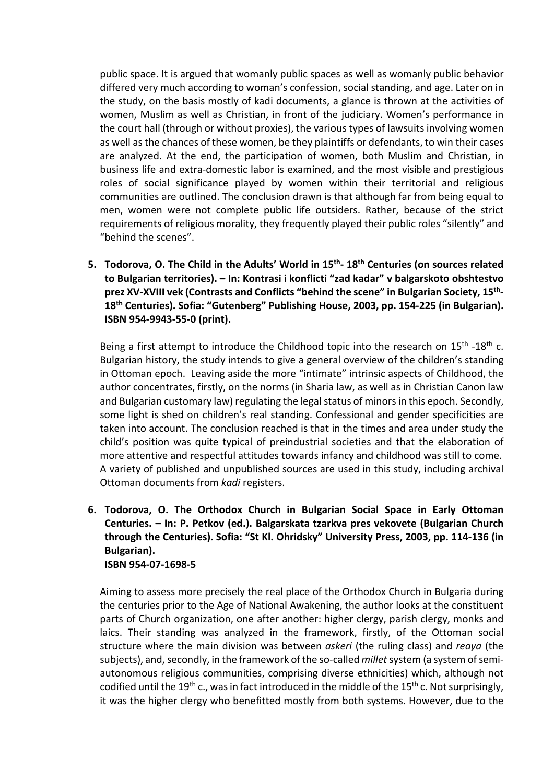public space. It is argued that womanly public spaces as well as womanly public behavior differed very much according to woman's confession, social standing, and age. Later on in the study, on the basis mostly of kadi documents, a glance is thrown at the activities of women, Muslim as well as Christian, in front of the judiciary. Women's performance in the court hall (through or without proxies), the various types of lawsuits involving women as well as the chances of these women, be they plaintiffs or defendants, to win their cases are analyzed. At the end, the participation of women, both Muslim and Christian, in business life and extra-domestic labor is examined, and the most visible and prestigious roles of social significance played by women within their territorial and religious communities are outlined. The conclusion drawn is that although far from being equal to men, women were not complete public life outsiders. Rather, because of the strict requirements of religious morality, they frequently played their public roles "silently" and "behind the scenes".

**5. Todorova, O. The Child in the Adults' World in 15th- 18th Centuries (on sources related to Bulgarian territories). – In: Kontrasi i konflicti "zad kadar" v balgarskoto obshtestvo prez ХV-ХVІІІ vek (Contrasts and Conflicts "behind the scene" in Bulgarian Society, 15th-18th Centuries). Sofia: "Gutenberg" Publishing House, 2003, pp. 154-225 (in Bulgarian). ISBN 954-9943-55-0 (print).** 

Being a first attempt to introduce the Childhood topic into the research on 15<sup>th</sup> -18<sup>th</sup> c. Bulgarian history, the study intends to give a general overview of the children's standing in Ottoman epoch. Leaving aside the more "intimate" intrinsic aspects of Childhood, the author concentrates, firstly, on the norms (in Sharia law, as well as in Christian Canon law and Bulgarian customary law) regulating the legal status of minors in this epoch. Secondly, some light is shed on children's real standing. Confessional and gender specificities are taken into account. The conclusion reached is that in the times and area under study the child's position was quite typical of preindustrial societies and that the elaboration of more attentive and respectful attitudes towards infancy and childhood was still to come. A variety of published and unpublished sources are used in this study, including archival Ottoman documents from *kadi* registers.

**6. Todorova, O. The Orthodox Church in Bulgarian Social Space in Early Ottoman Centuries. – In: P. Petkov (ed.). Balgarskata tzarkva pres vekovete (Bulgarian Church through the Centuries). Sofia: "St Kl. Ohridsky" University Press, 2003, pp. 114-136 (in Bulgarian). ISBN 954-07-1698-5**

Aiming to assess more precisely the real place of the Orthodox Church in Bulgaria during the centuries prior to the Age of National Awakening, the author looks at the constituent parts of Church organization, one after another: higher clergy, parish clergy, monks and laics. Their standing was analyzed in the framework, firstly, of the Ottoman social structure where the main division was between *askeri* (the ruling class) and *reaya* (the subjects), and, secondly, in the framework of the so-called *millet* system (a system of semiautonomous religious communities, comprising diverse ethnicities) which, although not codified until the 19<sup>th</sup> c., was in fact introduced in the middle of the 15<sup>th</sup> c. Not surprisingly, it was the higher clergy who benefitted mostly from both systems. However, due to the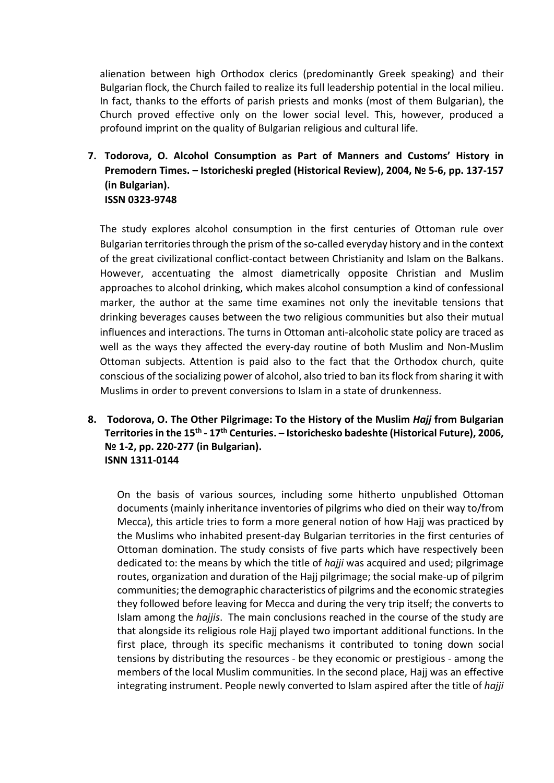alienation between high Orthodox clerics (predominantly Greek speaking) and their Bulgarian flock, the Church failed to realize its full leadership potential in the local milieu. In fact, thanks to the efforts of parish priests and monks (most of them Bulgarian), the Church proved effective only on the lower social level. This, however, produced a profound imprint on the quality of Bulgarian religious and cultural life.

**7. Todorova, O. Alcohol Consumption as Part of Manners and Customs' History in Premodern Times. – Istoricheski pregled (Historical Review), 2004, № 5-6, pp. 137-157 (in Bulgarian). ISSN 0323-9748**

The study explores alcohol consumption in the first centuries of Ottoman rule over Bulgarian territories through the prism of the so-called everyday history and in the context of the great civilizational conflict-contact between Christianity and Islam on the Balkans. However, accentuating the almost diametrically opposite Christian and Muslim approaches to alcohol drinking, which makes alcohol consumption a kind of confessional marker, the author at the same time examines not only the inevitable tensions that drinking beverages causes between the two religious communities but also their mutual influences and interactions. The turns in Ottoman anti-alcoholic state policy are traced as well as the ways they affected the every-day routine of both Muslim and Non-Muslim Ottoman subjects. Attention is paid also to the fact that the Orthodox church, quite conscious of the socializing power of alcohol, also tried to ban its flock from sharing it with Muslims in order to prevent conversions to Islam in a state of drunkenness.

**8. Todorova, O. The Other Pilgrimage: To the History of the Muslim** *Hajj* **from Bulgarian Territories in the 15th - 17th Centuries. – Istorichesko badeshte (Historical Future), 2006, № 1-2, pp. 220-277 (in Bulgarian). ISNN 1311-0144**

On the basis of various sources, including some hitherto unpublished Ottoman documents (mainly inheritance inventories of pilgrims who died on their way to/from Mecca), this article tries to form a more general notion of how Hajj was practiced by the Muslims who inhabited present-day Bulgarian territories in the first centuries of Ottoman domination. The study consists of five parts which have respectively been dedicated to: the means by which the title of *hajji* was acquired and used; pilgrimage routes, organization and duration of the Hajj pilgrimage; the social make-up of pilgrim communities; the demographic characteristics of pilgrims and the economic strategies they followed before leaving for Mecca and during the very trip itself; the converts to Islam among the *hajjis*. The main conclusions reached in the course of the study are that alongside its religious role Hajj played two important additional functions. In the first place, through its specific mechanisms it contributed to toning down social tensions by distributing the resources - be they economic or prestigious - among the members of the local Muslim communities. In the second place, Hajj was an effective integrating instrument. People newly converted to Islam aspired after the title of *hajji*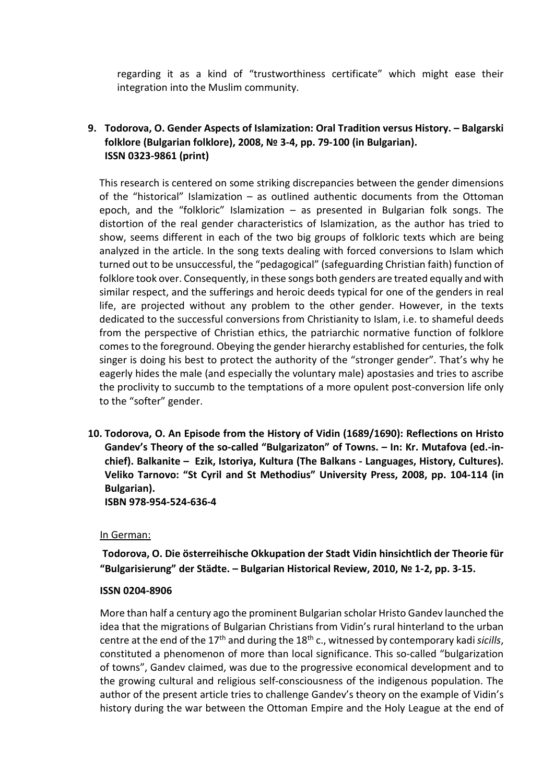regarding it as a kind of "trustworthiness certificate" which might ease their integration into the Muslim community.

## **9. Todorova, O. Gender Aspects of Islamization: Oral Tradition versus History. – Balgarski folklore (Bulgarian folklore), 2008, № 3-4, pp. 79-100 (in Bulgarian). ISSN 0323-9861 (print)**

This research is centered on some striking discrepancies between the gender dimensions of the "historical" Islamization – as outlined authentic documents from the Ottoman epoch, and the "folkloric" Islamization  $-$  as presented in Bulgarian folk songs. The distortion of the real gender characteristics of Islamization, as the author has tried to show, seems different in each of the two big groups of folkloric texts which are being analyzed in the article. In the song texts dealing with forced conversions to Islam which turned out to be unsuccessful, the "pedagogical" (safeguarding Christian faith) function of folklore took over. Consequеntly, in these songs both genders are treated equally and with similar respect, and the sufferings and heroic deeds typical for one of the genders in real life, are projected without any problem to the other gender. However, in the texts dedicated to the successful conversions from Christianity to Islam, i.e. to shameful deeds from the perspective of Christian ethics, the patriarchic normative function of folklore comes to the foreground. Obeying the gender hierarchy established for centuries, the folk singer is doing his best to protect the authority of the "stronger gender". That's why he eagerly hides the male (and especially the voluntary male) apostasies and tries to ascribe the proclivity to succumb to the temptations of a more opulent post-conversion life only to the "softer" gender.

**10. Todorova, O. An Episode from the History of Vidin (1689/1690): Reflections on Hristo Gandev's Theory of the so-called "Bulgarizaton" of Towns. – In: Kr. Mutafova (ed.-inchief). Balkanite – Ezik, Istoriya, Kultura (The Balkans - Languages, History, Cultures). Veliko Tarnovo: "St Cyril and St Methodius" University Press, 2008, pp. 104-114 (in Bulgarian). ISBN 978-954-524-636-4** 

#### In German:

**Todorova, О. Die österreihische Okkupation der Stadt Vidin hinsichtlich der Theorie für "Bulgarisierung" der Städte. – Bulgarian Historical Review, 2010, № 1-2, рр. 3-15.** 

#### **ISSN 0204-8906**

More than half a century ago the prominent Bulgarian scholar Hristo Gandev launched the idea that the migrations of Bulgarian Christians from Vidin's rural hinterland to the urban centre at the end of the 17th and during the 18th c., witnessed by contemporary kadi *sicills*, constituted a phenomenon of more than local significance. This so-called "bulgarization of towns", Gandev claimed, was due to the progressive economical development and to the growing cultural and religious self-consciousness of the indigenous population. The author of the present article tries to challenge Gandev's theory on the example of Vidin's history during the war between the Ottoman Empire and the Holy League at the end of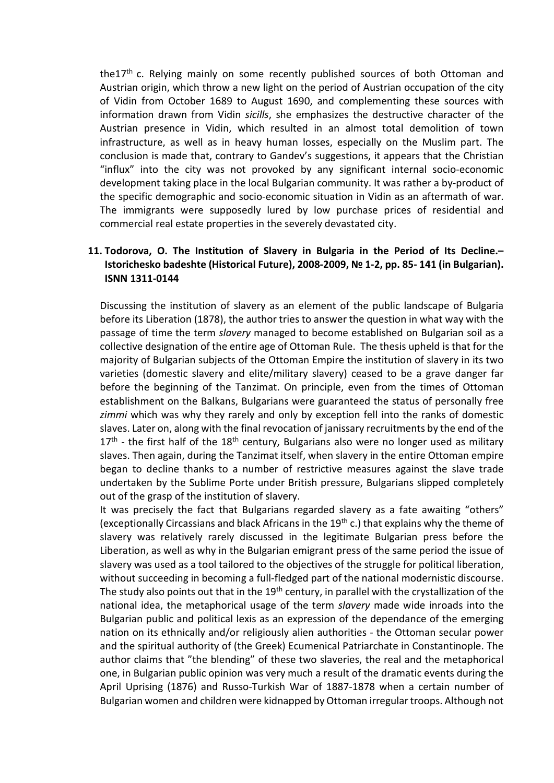the17<sup>th</sup> c. Relying mainly on some recently published sources of both Ottoman and Austrian origin, which throw a new light on the period of Austrian occupation of the city of Vidin from October 1689 to August 1690, and complementing these sources with information drawn from Vidin *sicills*, she emphasizes the destructive character of the Austrian presence in Vidin, which resulted in an almost total demolition of town infrastructure, as well as in heavy human losses, especially on the Muslim part. The conclusion is made that, contrary to Gandev's suggestions, it appears that the Christian "influx" into the city was not provoked by any significant internal socio-economic development taking place in the local Bulgarian community. It was rather a by-product of the specific demographic and socio-economic situation in Vidin as an aftermath of war. The immigrants were supposedly lured by low purchase prices of residential and commercial real estate properties in the severely devastated city.

# **11. Todorova, O. The Institution of Slavery in Bulgaria in the Period of Its Decline.– Istorichesko badeshte (Historical Future), 2008-2009, № 1-2, pp. 85- 141 (in Bulgarian). ISNN 1311-0144**

Discussing the institution of slavery as an element of the public landscape of Bulgaria before its Liberation (1878), the author tries to answer the question in what way with the passage of time the term *slavery* managed to become established on Bulgarian soil as a collective designation of the entire age of Ottoman Rule. The thesis upheld is that for the majority of Bulgarian subjects of the Ottoman Empire the institution of slavery in its two varieties (domestic slavery and elite/military slavery) ceased to be a grave danger far before the beginning of the Tanzimat. On principle, even from the times of Ottoman establishment on the Balkans, Bulgarians were guaranteed the status of personally free *zimmi* which was why they rarely and only by exception fell into the ranks of domestic slaves. Later on, along with the final revocation of janissary recruitments by the end of the  $17<sup>th</sup>$  - the first half of the  $18<sup>th</sup>$  century, Bulgarians also were no longer used as military slaves. Then again, during the Tanzimat itself, when slavery in the entire Ottoman empire began to decline thanks to a number of restrictive measures against the slave trade undertaken by the Sublime Porte under British pressure, Bulgarians slipped completely out of the grasp of the institution of slavery.

It was precisely the fact that Bulgarians regarded slavery as a fate awaiting "others" (exceptionally Circassians and black Africans in the 19<sup>th</sup> c.) that explains why the theme of slavery was relatively rarely discussed in the legitimate Bulgarian press before the Liberation, as well as why in the Bulgarian emigrant press of the same period the issue of slavery was used as a tool tailored to the objectives of the struggle for political liberation, without succeeding in becoming a full-fledged part of the national modernistic discourse. The study also points out that in the 19<sup>th</sup> century, in parallel with the crystallization of the national idea, the metaphorical usage of the term *slavery* made wide inroads into the Bulgarian public and political lexis as an expression of the dependance of the emerging nation on its ethnically and/or religiously alien authorities - the Ottoman secular power and the spiritual authority of (the Greek) Ecumenical Patriarchate in Constantinople. The author claims that "the blending" of these two slaveries, the real and the metaphorical one, in Bulgarian public opinion was very much a result of the dramatic events during the April Uprising (1876) and Russo-Turkish War of 1887-1878 when a certain number of Bulgarian women and children were kidnapped by Ottoman irregular troops. Although not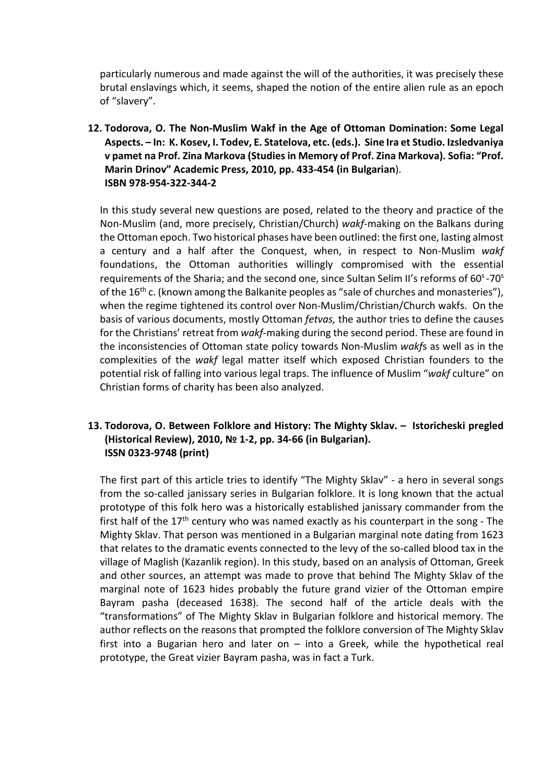particularly numerous and made against the will of the authorities, it was precisely these brutal enslavings which, it seems, shaped the notion of the entire alien rule as an epoch of "slavery".

**12. Todorova, O. The Non-Muslim Wakf in the Age of Ottoman Domination: Some Legal Aspects. – In: K. Kosev, I. Todev, E. Statelova, etc. (eds.). Sine Ira et Studio. Izsledvaniya v pamet na Prof. Zina Markova (Studiesin Memory of Prof. Zina Markova). Sofia: "Prof. Marin Drinov" Academic Press, 2010, pp. 433-454 (in Bulgarian**). **ISBN 978-954-322-344-2**

In this study several new questions are posed, related to the theory and practice of the Non-Muslim (and, more precisely, Christian/Church) *wakf*-making on the Balkans during the Ottoman epoch. Two historical phases have been outlined: the first one, lasting almost a century and a half after the Conquest, when, in respect to Non-Мuslim *wakf* foundations, the Ottoman authorities willingly compromised with the essential requirements of the Sharia; and the second one, since Sultan Selim II's reforms of  $60^{\circ}$ -70 $^{\circ}$ of the 16<sup>th</sup> c. (known among the Balkanite peoples as "sale of churches and monasteries"), when the regime tightened its control over Non-Muslim/Christian/Church wakfs. On the basis of various documents, mostly Ottoman *fetvas,* the author tries to define the causes for the Christians' retreat from *wakf*-making during the second period. These are found in the inconsistencies of Ottoman state policy towards Non-Muslim *wakf*s as well as in the complеxities of the *wakf* legal matter itself which exposed Christian founders to the potential risk of falling into various legal traps. The influence of Muslim "*wakf* culture" on Christian forms of charity has been also analyzed.

### **13. Todorova, O. Between Folklore and History: The Mighty Sklav. – Istoricheski pregled (Historical Review), 2010, № 1-2, pp. 34-66 (in Bulgarian). ISSN 0323-9748 (print)**

The first part of this article tries to identify "The Mighty Sklav" - a hero in several songs from the so-called janissary series in Bulgarian folklore. It is long known that the actual prototype of this folk hero was a historically established janissary commander from the first half of the  $17<sup>th</sup>$  century who was named exactly as his counterpart in the song - The Mighty Sklav. That person was mentioned in a Bulgarian marginal note dating from 1623 that relates to the dramatic events connected to the levy of the so-called blood tax in the village of Maglish (Kazanlik region). In this study, based on an analysis of Ottoman, Greek and other sources, an attempt was made to prove that behind The Mighty Sklav of the marginal note of 1623 hides probably the future grand vizier of the Ottoman empire Bayram pasha (deceased 1638). The second half of the article deals with the "transformations" of The Mighty Sklav in Bulgarian folklore and historical memory. The author reflects on the reasons that prompted the folklore conversion of The Mighty Sklav first into a Bugarian hero and later on  $-$  into a Greek, while the hypothetical real prototype, the Great vizier Bayram pasha, was in fact a Turk.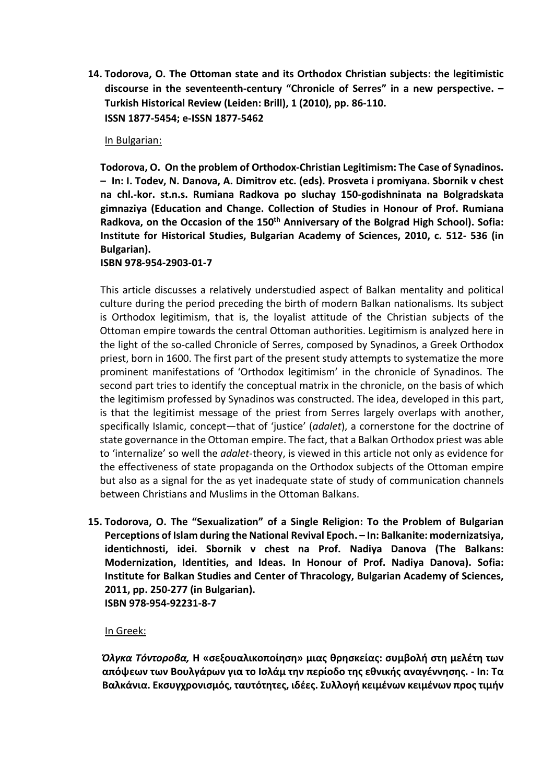**14. Todorova, О. Тhe Ottoman state and its Orthodox Christian subjects: the legitimistic discourse in the seventeenth-century "Chronicle of Serres" in a new perspective. – Turkish Historical Review (Leiden: Brill), 1 (2010), рр. 86-110. ISSN 1877-5454; e-ISSN 1877-5462**

### In Bulgarian:

**Todorova, O. On the problem of Orthodox-Christian Legitimism: The Case of Synadinos. – In: I. Todev, N. Danova, A. Dimitrov etc. (eds). Prosveta i promiyana. Sbornik v chest na chl.-kor. st.n.s. Rumiana Radkova po sluchay 150-godishninata na Bolgradskata gimnaziya (Education and Change. Collection of Studies in Honour of Prof. Rumiana Radkova, on the Occasion of the 150th Anniversary of the Bolgrad High School). Sofia: Institute for Historical Studies, Bulgarian Academy of Sciences, 2010, с. 512- 536 (in Bulgarian).**

#### **ISBN 978-954-2903-01-7**

This article discusses a relatively understudied aspect of Balkan mentality and political culture during the period preceding the birth of modern Balkan nationalisms. Its subject is Orthodox legitimism, that is, the loyalist attitude of the Christian subjects of the Ottoman empire towards the central Ottoman authorities. Legitimism is analyzed here in the light of the so-called Chronicle of Serres, composed by Synadinos, a Greek Orthodox priest, born in 1600. The first part of the present study attempts to systematize the more prominent manifestations of 'Orthodox legitimism' in the chronicle of Synadinos. The second part tries to identify the conceptual matrix in the chronicle, on the basis of which the legitimism professed by Synadinos was constructed. The idea, developed in this part, is that the legitimist message of the priest from Serres largely overlaps with another, specifically Islamic, concept—that of 'justice' (*adalet*), a cornerstone for the doctrine of state governance in the Ottoman empire. The fact, that a Balkan Orthodox priest was able to 'internalize' so well the *adalet*-theory, is viewed in this article not only as evidence for the effectiveness of state propaganda on the Orthodox subjects of the Ottoman empire but also as a signal for the as yet inadequate state of study of communication channels between Christians and Muslims in the Ottoman Balkans.

**15. Todorova, O. The "Sexualization" of a Single Religion: To the Problem of Bulgarian Perceptions of Islam during the National Revival Epoch. – In: Balkanite: modernizatsiya, identichnosti, idei. Sbornik v chest na Prof. Nadiya Danova (The Balkans: Modernization, Identities, and Ideas. In Honour of Prof. Nadiya Danova). Sofia: Institute for Balkan Studies and Center of Thracology, Bulgarian Academy of Sciences, 2011, pp. 250-277 (in Bulgarian). ISBN 978-954-92231-8-7**

#### In Greek:

*Όλγκα Τόντοροβα,* **Η «σεξουαλικοποίηση» μιας θρησκείας: συμβολή στη μελέτη των απόψεων των Βουλγάρων για το Ισλάμ την περίοδο της εθνικής αναγέννησης. - In: Τα Βαλκάνια. Εκσυγχρονισμός, ταυτότητες, ιδέες. Συλλογή κειμένων κειμένων προς τιμήν**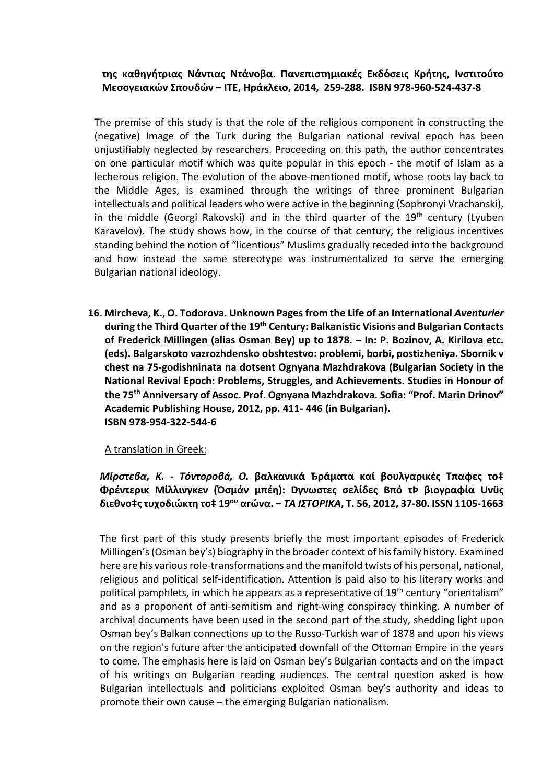## **της καθηγήτριας Νάντιας Ντάνοβα. Πανεπιστημιακές Εκδόσεις Κρήτης, Ινστιτούτο Μεσογειακών Σπουδών – ΙΤΕ, Ηράκλειο, 2014, 259-288. ISBN 978-960-524-437-8**

The premise of this study is that the role of the religious component in constructing the (negative) Image of the Turk during the Bulgarian national revival epoch has been unjustifiably neglected by researchers. Proceeding on this path, the author concentrates on one particular motif which was quite popular in this epoch - the motif of Islam as a lecherous religion. The evolution of the above-mentioned motif, whose roots lay back to the Middle Ages, is examined through the writings of three prominent Bulgarian intellectuals and political leaders who wеrе active in the beginning (Sophronyi Vrachanski), in the middle (Georgi Rakovski) and in the third quarter of the  $19<sup>th</sup>$  century (Lyuben Karavelov). The study shows how, in the course of that century, the religious incentives standing behind the notion of "licentious" Muslims gradually receded into the background and how instead the same stereotype was instrumentalized to serve the emerging Bulgarian national ideology.

**16. Mircheva, K., O. Todorova. Unknown Pages from the Life of an International** *Aventurier* **during the Third Quarter of the 19th Century: Balkanistic Visions and Bulgarian Contacts of Frederick Millingen (alias Osman Bey) up to 1878. – In: P. Bozinov, A. Kirilova etc. (eds). Balgarskoto vazrozhdensko obshtestvo: problemi, borbi, postizheniya. Sbornik v chest na 75-godishninata na dotsent Ognyana Mazhdrakova (Bulgarian Society in the National Revival Epoch: Problems, Struggles, and Achievements. Studies in Honour of the 75th Anniversary of Assoc. Prof. Ognyana Mazhdrakova. Sofia: "Prof. Marin Drinov" Academic Publishing House, 2012, pp. 411- 446 (in Bulgarian). ISBN 978-954-322-544-6** 

### A translation in Greek:

*Μίρστεβα, K. - Τόντοροβá, О.* **βαλκανικά Ђράματα καί βουλγαρικές Tπαφες το‡ Φρέντερικ Μίλλινγκεν (Όσμάν μπέη): Dγνωστες σελίδες Bπό τÞ βιογραφία Uνüς διεθνο‡ς τυχοδιώκτη το‡ 19ου αrώνα. –** *ΤΑ ΙΣΤΟΡΙΚΑ***, Τ. 56, 2012, 37-80. ISSN 1105-1663** 

The first part of this study presents briefly the most important episodes of Frederick Millingen's(Osman bey's) biography in the broader context of his family history. Examined here are his various role-transformations and the manifold twists of his personal, national, religious and political self-identification. Attention is paid also to his literary works and political pamphlets, in which he appears as a representative of 19<sup>th</sup> century "orientalism" and as a proponent of anti-semitism and right-wing conspiracy thinking. A number of archival documents have been used in the second part of the study, shedding light upon Osman bey's Balkan connections up to the Russo-Turkish war of 1878 and upon his views on the region's future after the anticipated downfall of the Ottoman Empire in the years to come. The emphasis here is laid on Osman bey's Bulgarian contacts and on the impact of his writings on Bulgarian reading audiences. The central question asked is how Bulgarian intellectuals and politicians exploited Osman bey's authority and ideas to promote their own cause – the emerging Bulgarian nationalism.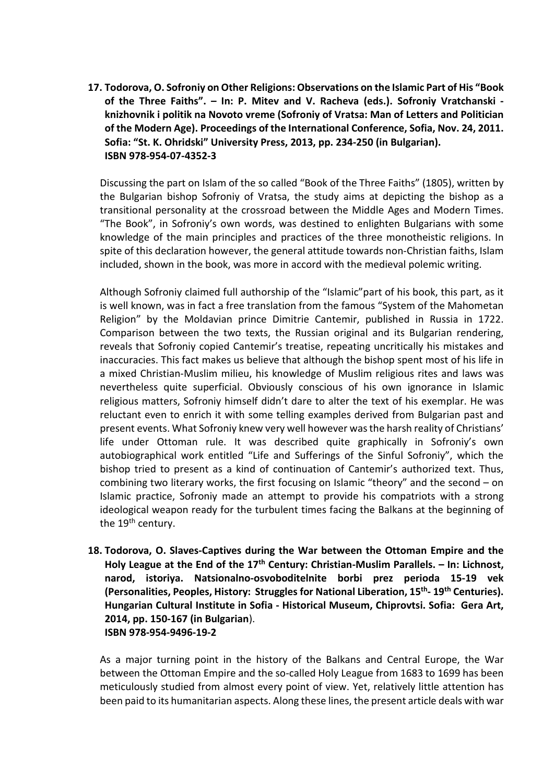**17. Todorova, O. Sofroniy on Other Religions: Observations on the Islamic Part of His "Book of the Three Faiths". – In: P. Mitev and V. Racheva (eds.). Sofroniy Vratchanski knizhovnik i politik na Novoto vreme (Sofroniy of Vratsa: Man of Letters and Politician of the Modern Age). Proceedings of the International Conference, Sofia, Nov. 24, 2011. Sofia: "St. K. Ohridski" University Press, 2013, pp. 234-250 (in Bulgarian). ISBN 978-954-07-4352-3**

Discussing the part on Islam of the so called "Book of the Three Faiths" (1805), written by the Bulgarian bishop Sofroniy of Vratsa, the study aims at depicting the bishop as a transitional personality at the crossroad between the Middle Ages and Modern Times. "The Book", in Sofroniy's own words, was destined to enlighten Bulgarians with some knowledge of the main principles and practices of the three monotheistic religions. In spite of this declaration however, the general attitude towards non-Christian faiths, Islam included, shown in the book, was more in accord with the medieval polemic writing.

Although Sofroniy claimed full authorship of the "Islamic"part of his book, this part, as it is well known, was in fact a free translation from the famous "System of the Mahometan Religion" by the Moldavian prince Dimitrie Cantemir, published in Russia in 1722. Comparison between the two texts, the Russian original and its Bulgarian rendering, reveals that Sofroniy copied Cantemir's treatise, repeating uncritically his mistakes and inaccuracies. This fact makes us believe that although the bishop spent most of his life in a mixed Christian-Muslim milieu, his knowledge of Muslim religious rites and laws was nevertheless quite superficial. Obviously conscious of his own ignorance in Islamic religious matters, Sofroniy himself didn't dare to alter the text of his exemplar. He was reluctant even to enrich it with some telling examples derived from Bulgarian past and present events. What Sofroniy knew very well however was the harsh reality of Christians' life under Ottoman rule. It was described quite graphically in Sofroniy's own autobiographical work entitled "Life and Sufferings of the Sinful Sofroniy", which the bishop tried to present as a kind of continuation of Cantemir's authorized text. Thus, combining two literary works, the first focusing on Islamic "theory" and the second – on Islamic practice, Sofroniy made an attempt to provide his compatriots with a strong ideological weapon ready for the turbulent times facing the Balkans at the beginning of the 19<sup>th</sup> century.

**18. Todorova, O. Slaves-Captives during the War between the Ottoman Empire and the Holy League at the End of the 17th Century: Christian-Muslim Parallels. – In: Lichnost, narod, istoriya. Natsionalno-osvoboditelnite borbi prez perioda 15-19 vek (Personalities, Peoples, History: Struggles for National Liberation, 15th- 19th Centuries). Hungarian Cultural Institute in Sofia - Historical Museum, Chiprovtsi. Sofia: Gera Art, 2014, pp. 150-167 (in Bulgarian**). **ISBN 978-954-9496-19-2**

As a major turning point in the history of the Balkans and Central Europe, the War between the Ottoman Empire and the so-called Holy League from 1683 to 1699 has been meticulously studied from almost every point of view. Yet, relatively little attention has been paid to its humanitarian aspects. Along these lines, the present article deals with war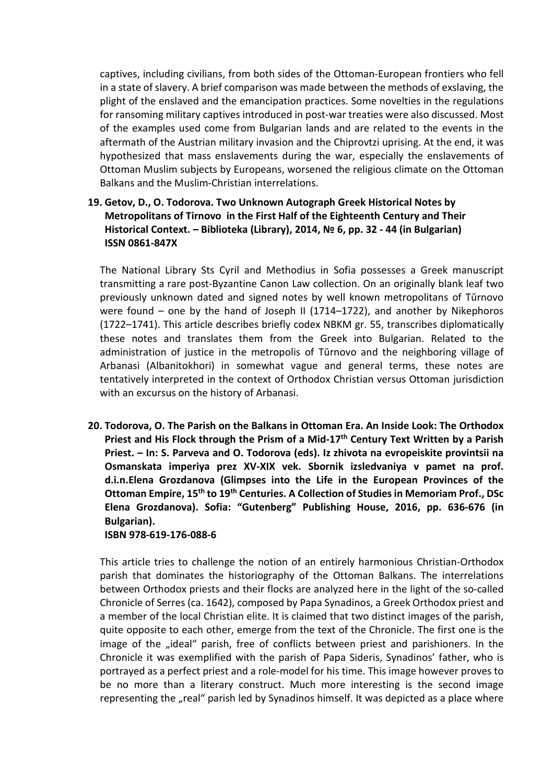captives, including civilians, from both sides of the Ottoman-European frontiers who fell in a state of slavery. A brief comparison was made between the methods of ехslaving, the plight of the enslaved and the emancipation practices. Some novelties in the regulations for ransoming military captives introduced in post-war treaties were also discussed. Most of the examples used come from Bulgarian lands and are related to the events in the aftermath of the Austrian military invasion and the Chiprovtzi uprising. At the end, it was hypothesized that mass enslavements during the war, especially the enslavements of Ottoman Muslim subjects by Europeans, worsened the religious climate on the Ottoman Balkans and the Muslim-Christian interrelations.

# **19. Getov, D., O. Todorova. Two Unknown Autograph Greek Historical Notes by Metropolitans of Tirnovo in the First Half of the Eighteenth Century and Their Historical Context. – Biblioteka (Library), 2014, № 6, pp. 32 - 44 (in Bulgarian) ISSN 0861-847X**

The National Library Sts Cyril and Methodius in Sofia possesses a Greek manuscript transmitting a rare post-Byzantine Canon Law collection. On an originally blank leaf two previously unknown dated and signed notes by well known metropolitans of Tŭrnovo were found – one by the hand of Joseph II (1714–1722), and another by Nikephoros (1722–1741). This article describes briefly codex NBKM gr. 55, transcribes diplomatically these notes and translates them from the Greek into Bulgarian. Related to the administration of justice in the metropolis of Tŭrnovo and the neighboring village of Arbanasi (Albanitokhori) in somewhat vague and general terms, these notes are tentatively interpreted in the context of Orthodox Christian versus Ottoman jurisdiction with an excursus on the history of Arbanasi.

**20. Todorova, O. The Parish on the Balkans in Ottoman Era. An Inside Look: The Orthodox Priest and His Flock through the Prism of a Mid-17th Century Text Written by a Parish Priest. – In: S. Parveva and O. Todorova (eds). Iz zhivota na evropeiskite provintsii na Osmanskata imperiya prez XV-XIX vek. Sbornik izsledvaniya v pamet na prof. d.i.n.Elena Grozdanova (Glimpses into the Life in the European Provinces of the Ottoman Empire, 15th to 19th Centuries. A Collection of Studies in Memoriam Prof., DSc Elena Grozdanova). Sofia: "Gutenberg" Publishing House, 2016, pp. 636-676 (in Bulgarian).**

**ISBN 978-619-176-088-6**

This article tries to challenge the notion of an entirely harmonious Christian-Orthodox parish that dominates the historiography of the Ottoman Balkans. The interrelations between Orthodox priests and their flocks are analyzed here in the light of the so-called Chronicle of Serres (ca. 1642), composed by Papa Synadinos, a Greek Orthodox priest and a member of the local Christian elite. It is claimed that two distinct images of the parish, quite opposite to each other, emerge from the text of the Chronicle. The first one is the image of the "ideal" parish, free of conflicts between priest and parishioners. In the Chronicle it was exemplified with the parish of Papa Sideris, Synadinos' father, who is portrayed as a perfect priest and a role-model for his time. This image however proves to be no more than a literary construct. Much more interesting is the second image representing the "real" parish led by Synadinos himself. It was depicted as a place where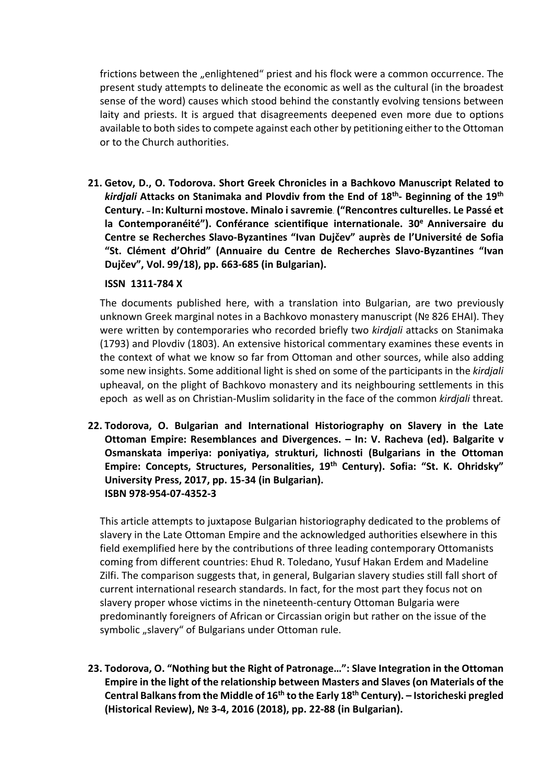frictions between the "enlightened" priest and his flock were a common occurrence. The present study attempts to delineate the economic as well as the cultural (in the broadest sense of the word) causes which stood behind the constantly evolving tensions between laity and priests. It is argued that disagreements deepened even more due to options available to both sides to compete against each other by petitioning either to the Ottoman or to the Church authorities.

**21. Getov, D., O. Todorova. Short Greek Chronicles in a Bachkovo Manuscript Related to** *kirdjali* **Attacks on Stanimaka and Plovdiv from the End of 18th- Beginning of the 19th Century. – In: Kulturni mostove. Minalo i savremie**. **("Rencontres culturelles. Le Passé et la Contemporanéité"). Conférance scientifique internationale. 30e Anniversaire du Centre se Recherches Slavo-Byzantines "Ivan Dujčev" auprès de l'Université de Sofia "St. Clément d'Ohrid" (Annuaire du Centre de Recherches Slavo-Byzantines "Ivan Dujčev", Vol. 99/18), pp. 663-685 (in Bulgarian).** 

### **ISSN 1311-784 X**

The documents published here, with a translation into Bulgarian, are two previously unknown Greek marginal notes in a Bachkovo monastery manuscript (№ 826 EHAI). They were written by contemporaries who recorded briefly two *kirdjali* attacks on Stanimaka (1793) and Plovdiv (1803). An extensive historical commentary examines these events in the context of what we know so far from Ottoman and other sources, while also adding some new insights. Some additional light is shed on some of the participants in the *kirdjali* upheaval, on the plight of Bachkovo monastery and its neighbouring settlements in this epoch as well as on Christian-Muslim solidarity in the face of the common *kirdjali* threat*.*

**22. Todorova, O. Bulgarian and International Historiography on Slavery in the Late Ottoman Empire: Resemblances and Divergences. – In: V. Racheva (ed). Balgarite v Osmanskata imperiya: poniyatiya, strukturi, lichnosti (Bulgarians in the Ottoman Empire: Concepts, Structures, Personalities, 19th Century). Sofia: "St. K. Ohridsky" University Press, 2017, pp. 15-34 (in Bulgarian). ISBN 978-954-07-4352-3** 

This article attempts to juxtapose Bulgarian historiography dedicated to the problems of slavery in the Late Ottoman Empire and the acknowledged authorities elsewhere in this field exemplified here by the contributions of three leading contemporary Ottomanists coming from different countries: Ehud R. Toledano, Yusuf Hakan Erdem and Madeline Zilfi. The comparison suggests that, in general, Bulgarian slavery studies still fall short of current international research standards. In fact, for the most part they focus not on slavery proper whose victims in the nineteenth-century Ottoman Bulgaria were predominantly foreigners of African or Circassian origin but rather on the issue of the symbolic "slavery" of Bulgarians under Ottoman rule.

**23. Todorova, O. "Nothing but the Right of Patronage…": Slave Integration in the Ottoman Empire in the light of the relationship between Masters and Slaves (on Materials of the Central Balkans from the Middle of 16th to the Early 18th Century). – Istoricheski pregled (Historical Review), № 3-4, 2016 (2018), рр. 22-88 (in Bulgarian).**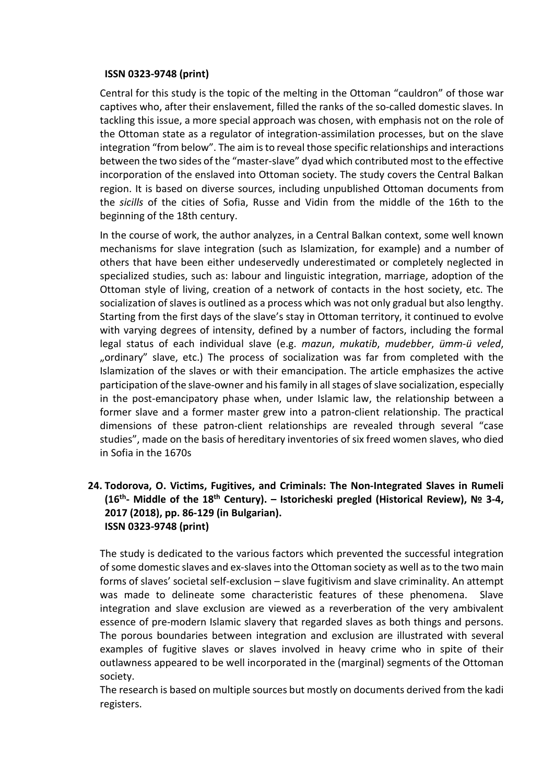### **ISSN 0323-9748 (print)**

Central for this study is the topic of the melting in the Ottoman "cauldron" of those war captives who, after their enslavement, filled the ranks of the so-called domestic slaves. In tackling this issue, a more special approach was chosen, with emphasis not on the role of the Ottoman state as a regulator of integration-assimilation processes, but on the slave integration "from below". The aim is to reveal those specific relationships and interactions between the two sides of the "master-slave" dyad which contributed most to the effective incorporation of the enslaved into Ottoman society. The study covers the Central Balkan region. It is based on diverse sources, including unpublished Ottoman documents from the *sicills* of the cities of Sofia, Russe and Vidin from the middle of the 16th to the beginning of the 18th century.

In the course of work, the author analyzes, in a Central Balkan context, some well known mechanisms for slave integration (such as Islamization, for example) and a number of others that have been either undeservedly underestimated or completely neglected in specialized studies, such as: labour and linguistic integration, marriage, adoption of the Ottoman style of living, creation of a network of contacts in the host society, etc. The socialization of slaves is outlined as a process which was not only gradual but also lengthy. Starting from the first days of the slave's stay in Ottoman territory, it continued to evolve with varying degrees of intensity, defined by a number of factors, including the formal legal status of each individual slave (e.g. *mazun*, *mukatib*, *mudebber*, *ümm-ü veled*, "ordinary" slave, etc.) The process of socialization was far from completed with the Islamization of the slaves or with their emancipation. The article emphasizes the active participation of the slave-owner and his family in all stages of slave socialization, especially in the post-emancipatory phase when, under Islamic law, the relationship between a former slave and a former master grew into a patron-client relationship. The practical dimensions of these patron-client relationships are revealed through several "case studies", made on the basis of hereditary inventories of six freed women slaves, who died in Sofia in the 1670s

### **24. Todorova, O. Victims, Fugitives, and Criminals: The Non-Integrated Slaves in Rumeli (16th- Middle of the 18th Century). – Istoricheski pregled (Historical Review), № 3-4, 2017 (2018), pp. 86-129 (in Bulgarian). ISSN 0323-9748 (print)**

The study is dedicated to the various factors which prevented the successful integration of some domestic slaves and ex-slaves into the Ottoman society as well as to the two main forms of slaves' societal self-exclusion – slave fugitivism and slave criminality. An attempt was made to delineate some characteristic features of these phenomena. Slave integration and slave exclusion are viewed as a reverberation of the very ambivalent essence of pre-modern Islamic slavery that regarded slaves as both things and persons. The porous boundaries between integration and exclusion are illustrated with several examples of fugitive slaves or slaves involved in heavy crime who in spite of their outlawness appeared to be well incorporated in the (marginal) segments of the Ottoman society.

The research is based on multiple sources but mostly on documents derived from the kadi registers.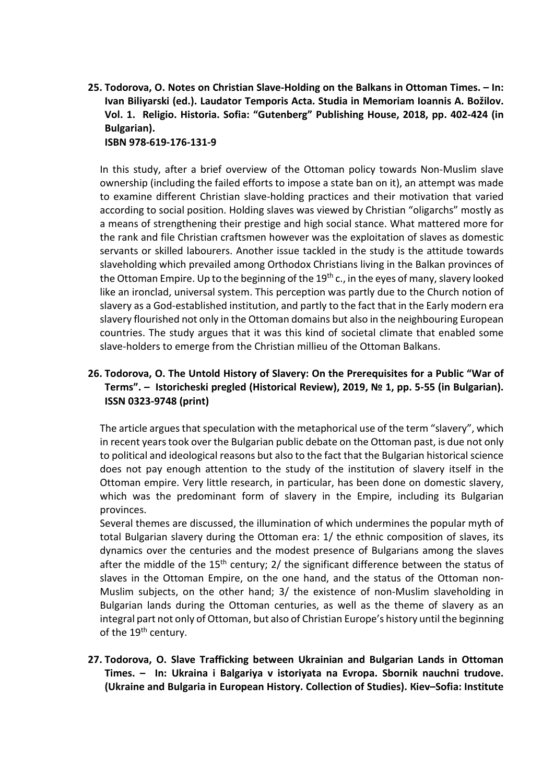**25. Todorova, O. Notes on Christian Slave-Holding on the Balkans in Ottoman Times. – In: Ivan Biliyarski (ed.). Laudator Temporis Acta. Studia in Memoriam Ioannis A. Božilov. Vol. 1. Religio. Historia. Sofia: "Gutenberg" Publishing House, 2018, pp. 402-424 (in Bulgarian). ISBN 978-619-176-131-9** 

In this study, after a brief overview of the Ottoman policy towards Non-Muslim slave ownership (including the failed efforts to impose a state ban on it), an attempt was made to examine different Christian slave-holding practices and their motivation that varied according to social position. Holding slaves was viewed by Christian "oligarchs" mostly as a means of strengthening their prestige and high social stance. What mattered more for the rank and file Christian craftsmen however was the exploitation of slaves as domestic servants or skilled labourers. Another issue tackled in the study is the attitude towards slaveholding which prevailed among Orthodox Christians living in the Balkan provinces of the Ottoman Empire. Up to the beginning of the  $19<sup>th</sup>$  c., in the eyes of many, slavery looked like an ironclad, universal system. This perception was partly due to the Church notion of slavery as a God-established institution, and partly to the fact that in the Early modern era slavery flourished not only in the Ottoman domains but also in the neighbouring European countries. The study argues that it was this kind of societal climate that enabled some slave-holders to emerge from the Christian millieu of the Ottoman Balkans.

## **26. Todorova, O. The Untold History of Slavery: On the Prerequisites for a Public "War of Terms". – Istoricheski pregled (Historical Review), 2019, № 1, pp. 5-55 (in Bulgarian). ISSN 0323-9748 (print)**

The article argues that speculation with the metaphorical use of the term "slavery", which in recent years took over the Bulgarian public debate on the Ottoman past, is due not only to political and ideological reasons but also to the fact that the Bulgarian historical science does not pay enough attention to the study of the institution of slavery itself in the Ottoman empire. Very little research, in particular, has been done on domestic slavery, which was the predominant form of slavery in the Empire, including its Bulgarian provinces.

Several themes are discussed, the illumination of which undermines the popular myth of total Bulgarian slavery during the Ottoman era: 1/ the ethnic composition of slaves, its dynamics over the centuries and the modest presence of Bulgarians among the slaves after the middle of the  $15<sup>th</sup>$  century; 2/ the significant difference between the status of slaves in the Ottoman Empire, on the one hand, and the status of the Ottoman non-Muslim subjects, on the other hand; 3/ the existеnce of non-Muslim slaveholding in Bulgarian lands during the Ottoman centuries, as well as the theme of slavery as an integral part not only of Ottoman, but also of Christian Europe's history until the beginning of the 19<sup>th</sup> century.

**27. Todorova, O. Slave Trafficking between Ukrainian and Bulgarian Lands in Ottoman Times. – In: Ukraina i Balgariya v istoriyata na Evropa. Sbornik nauchni trudove. (Ukraine and Bulgaria in European History. Collection of Studies). Кiev–Sofia: Institute**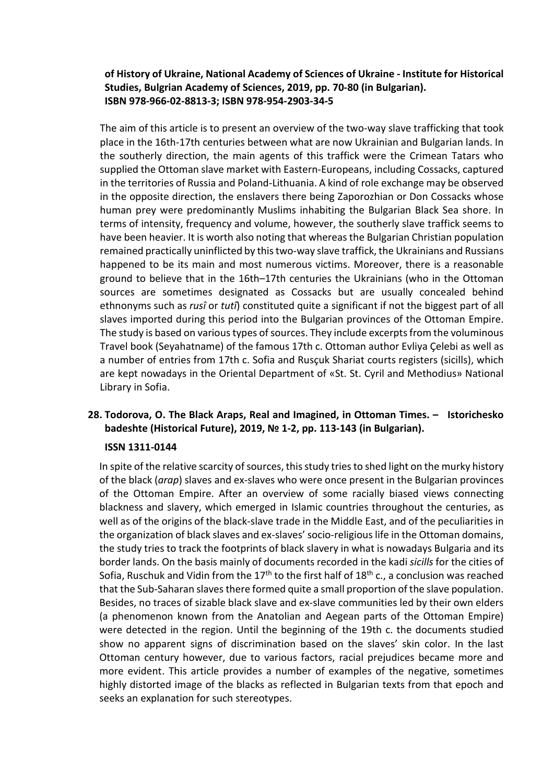### **of History of Ukraine, National Academy of Sciences of Ukraine - Institute for Historical Studies, Bulgrian Academy of Sciences, 2019, pp. 70-80 (in Bulgarian). ISBN 978-966-02-8813-3; ISBN 978-954-2903-34-5**

The aim of this article is to present an overview of the two-way slave trafficking that took place in the 16th-17th centuries between what are now Ukrainian and Bulgarian lands. In the southerly direction, the main agents of this traffick were the Crimean Tatars who supplied the Ottoman slave market with Eastern-Europeans, including Cossacks, captured in the territories of Russia and Poland-Lithuania. A kind of role exchange may be observed in the opposite direction, the enslavers there being Zaporozhian or Don Cossacks whose human prey were predominantly Muslims inhabiting the Bulgarian Black Sea shore. In terms of intensity, frequency and volume, however, the southerly slave traffick seems to have been heavier. It is worth also noting that whereas the Bulgarian Christian population remained practically uninflicted by this two-way slave traffick, the Ukrainians and Russians happened to be its main and most numerous victims. Moreover, there is a reasonable ground to believe that in the 16th–17th centuries the Ukrainians (who in the Ottoman sources are sometimes designated as Cossacks but are usually concealed behind ethnonyms such as *rusî* or *tutî*) constituted quite a significant if not the biggest part of all slaves imported during this period into the Bulgarian provinces of the Ottoman Empire. The study is based on various types of sources. They include excerpts from the voluminous Travel book (Seyahatname) of the famous 17th c. Ottoman author Evliya Çelebi as well as a number of entries from 17th c. Sofia and Rusçuk Shariat courts registers (sicills), which are kept nowadays in the Oriental Department of «St. St. Cyril and Methodius» National Library in Sofia.

## **28. Todorova, O. The Black Araps, Real and Imagined, in Ottoman Times. – Istorichesko badeshte (Historical Future), 2019, № 1-2, рр. 113-143 (in Bulgarian).**

### **ISSN 1311-0144**

In spite of the relative scarcity of sources, this study tries to shed light on the murky history of the black (*arap*) slaves and ex-slaves who were once present in the Bulgarian provinces of the Ottoman Empire. After an overview of some racially biased views connecting blackness and slavery, which emerged in Islamic countries throughout the centuries, as well as of the origins of the black-slave trade in the Middle East, and of the peculiarities in the organization of black slaves and ex-slaves' socio-religious life in the Ottoman domains, the study tries to track the footprints of black slavery in what is nowadays Bulgaria and its border lands. On the basis mainly of documents recorded in the kadi *sicills* for the cities of Sofia, Ruschuk and Vidin from the 17<sup>th</sup> to the first half of 18<sup>th</sup> c., a conclusion was reached that the Sub-Saharan slaves there formed quite a small proportion of the slave population. Besides, no traces of sizable black slave and ex-slave communities led by their own elders (a phenomenon known from the Anatolian and Aegean parts of the Ottoman Empire) were detected in the region. Until the beginning of the 19th c. the documents studied show no apparent signs of discrimination based on the slaves' skin color. In the last Ottoman century however, due to various factors, racial prejudices became more and more evident. This article provides a number of examples of the negative, sometimes highly distorted image of the blacks as reflected in Bulgarian texts from that epoch and seeks an explanation for such stereotypes.